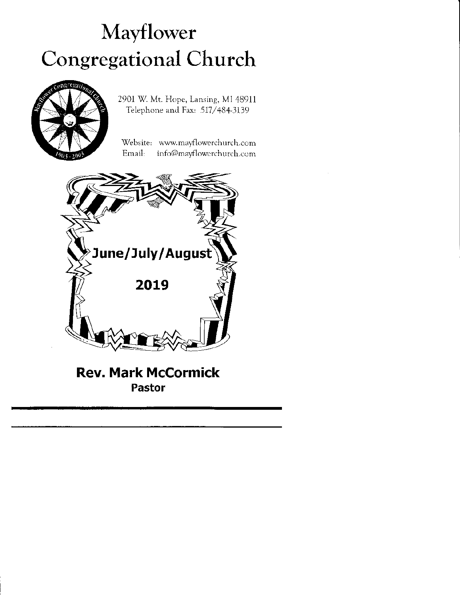## Mavflower Congregational Church



2901 W. Mt. Hope, Lansing, MI 48911 Telephone and Fax: 517/484-3139

Website: www.mayflowerchurch.com Email: info@mayflowerchurch.com



## Rev. Mark McCormick Pastor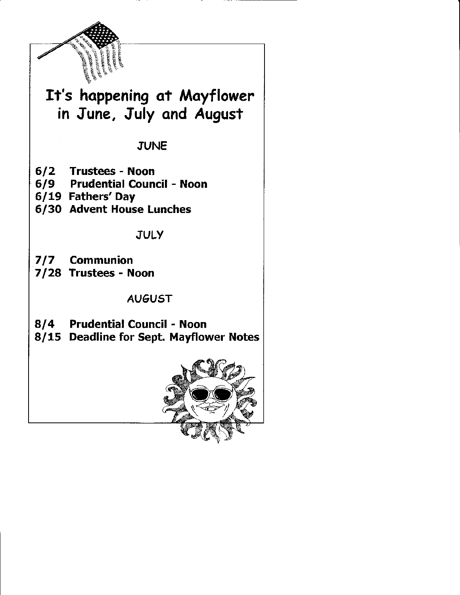

## It's happening ot Mayflower in June, July ond August

**JUNE** 

- 612 Trustees Noon
- 619 Prudential Council Noon
- 6/19 Fathers'Day
- 6/3O Advent House Lunches

JULY

- 717 Communion
- 7/28 Trustees Noon

AU6UST

- 814 Prudential Council Noon
- 8/15 Deadline for Sept. Mayflower Notes

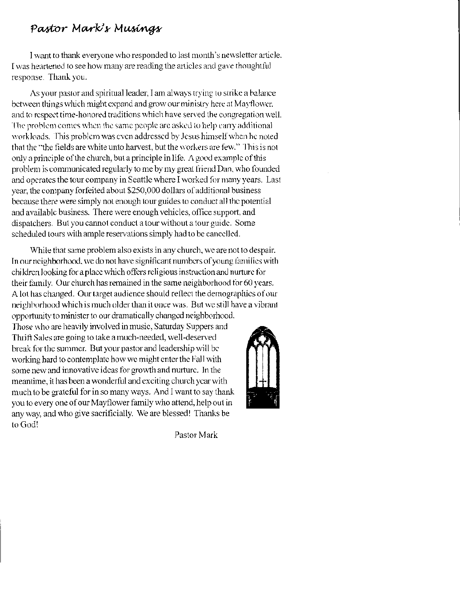#### Pastor Mark's Musings

I want to thank everyone who responded to last month's newsletter article. I was heartened to see how many are reading the articles and gave thoughtful response. Thank you.

As your pastor and spiritual leader, I am always trying to strike a balance between things which might expand and grow our ministry here at Mayflower. and to respect time-honored traditions which have served the congregation well. The problem comes when the same people are asked to help carry additional workloads. This problem was even addressed by Jesus himself when he noted that the "the fields are white unto harvest, but the workers are few." This is not only a principle of the church, but a principle in life. A good example of this problem is communicated regularly to me by my great friend Dan, who founded and operates the tour company in Seattle where I worked for many years. Last year, the company forfeited about \$250,000 dollars of additional business because there were simply not enough tour guides to conduct all the potential and available business. There were enough vehicles, office support, and dispatchers. But you cannot conduct a tour without a tour guide. Some scheduled tours with ample reservations simply had to be cancelled.

While that same problem also exists in any church, we are not to despair. In our neighborhood, we do not have significant numbers of young families with children looking for a place which offers religious instruction and nurture for their family. Our church has remained in the same neighborhood for 60 years. A lot has changed. Our target audience should reflect the demographics of our neighborhood which is much older than it once was. But we still have a vibrant opportunity to minister to our dramatically changed neighborhood.

Those who are heavily involved in music, Saturday Suppers and Thrift Sales are going to take a much-needed, well-deserved break for the summer. But your pastor and leadership will be working hard to contemplate how we might enter the Fall with some new and innovative ideas for growth and nurture. In the meantime, it has been a wonderful and exciting church year with much to be grateful for in so many ways. And I want to say thank you to every one of our Mayflower family who attend, help out in any way, and who give sacrificially. We are blessed! Thanks be to God!



Pastor Mark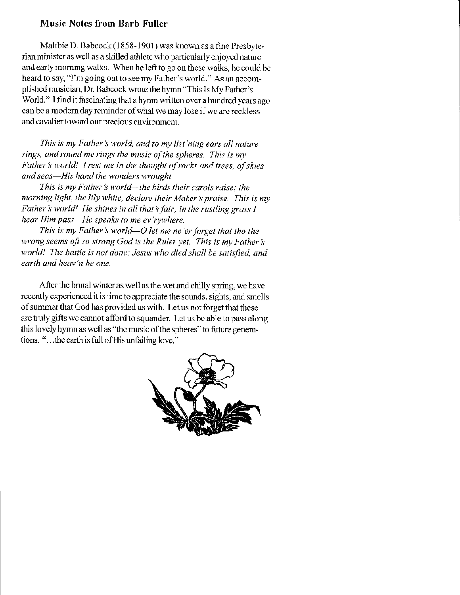#### **Music Notes from Barb Fuller**

Maltbie D. Babcock (1858-1901) was known as a fine Presbyterian minister as well as a skilled athlete who particularly enjoyed nature and early morning walks. When he left to go on these walks, he could be heard to say, "I'm going out to see my Father's world." As an accomplished musician, Dr. Babcock wrote the hymn "This Is My Father's World." I find it fascinating that a hymn written over a hundred years ago can be a modern day reminder of what we may lose if we are reckless and cavalier toward our precious environment.

This is my Father's world, and to my list'ning ears all nature sings, and round me rings the music of the spheres. This is my Father's world! I rest me in the thought of rocks and trees, of skies and seas-His hand the wonders wrought.

This is my Father's world—the birds their carols raise; the morning light, the lily white, declare their Maker's praise. This is my Father's world! He shines in all that's fair; in the rustling grass I hear Him pass-He speaks to me ev'rywhere.

This is my Father's world-O let me ne'er forget that tho the wrong seems oft so strong God is the Ruler yet. This is my Father's world! The battle is not done; Jesus who died shall be satisfied, and earth and heav'n be one.

After the brutal winter as well as the wet and chilly spring, we have recently experienced it is time to appreciate the sounds, sights, and smells of summer that God has provided us with. Let us not forget that these are truly gifts we cannot afford to squander. Let us be able to pass along this lovely hymn as well as "the music of the spheres" to future generations. "...the earth is full of His unfailing love."

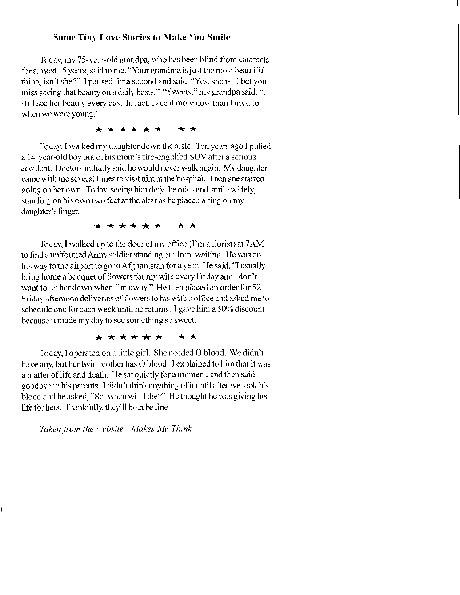#### **Some Tiny Love Stories to Make You Smile**

Today, my 75-year-old grandpa, who has been blind from cataracts for almost 15 years, said to me, "Your grandma is just the most beautiful thing, isn't she?" I paused for a second and said, "Yes, she is. I bet you miss seeing that beauty on a daily basis." "Sweety," my grandpa said, "I still see her beauty every day. In fact, I see it more now than I used to when we were young."

#### \*\*\*\*\*\* \*\*

Today, I walked my daughter down the aisle. Ten years ago I pulled a 14-year-old boy out of his mom's fire-engulfed SUV after a serious accident. Doctors initially said he would never walk again. My daughter came with me several times to visit him at the hospital. Then she started going on her own. Today, seeing him defy the odds and smile widely, standing on his own two feet at the altar as he placed a ring on my daughter's finger.

#### \*\*\*\*\*\* \*\*

Today, I walked up to the door of my office (1'm a florist) at 7AM to find a uniformed Army soldier standing out front waiting. He was on his way to the airport to go to Afghanistan for a year. He said, "I usually bring home a bouquet of flowers for my wife every Friday and I don't want to let her down when I'm away." He then placed an order for 52 Friday afternoon deliveries of flowers to his wife's office and asked me to schedule one for each week until he returns. I gave him a 50% discount because it made my day to see something so sweet.

#### \*\*\*\*\*\* \*\*

Today, I operated on a little girl. She needed O blood. We didn't have any, but her twin brother has O blood. J explained to him that it was a matter of life and death. He sat quietly for a moment, and then said goodbye to his parents. I didn't think anything of it until after we took his blood and he asked, "So, when will I die?" He thought he was giving his life for hers. Thankfully, they'll both be fine.

Taken from the website "Makes Me Think"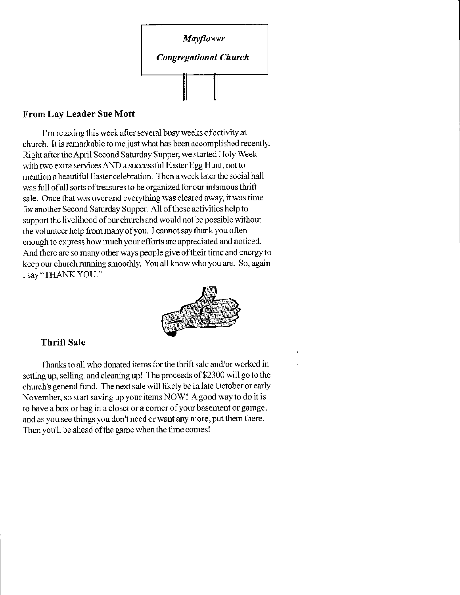

#### From Lay Leader Sue Mott

I'm rclaxing this week after several busy weeks of activity at church. It is remarkable to me just what has been accomplished recently. Right after the April Second Saturday Supper, we started Holy Week with two extra services AND a successful Easter Egg Hunt, not to mention a beautiful Easter celebration. Then a week later the social hall was full of all sorts of treasures to be organized for our infamous thrift sale. Once that was over and everything was cleared away, it was time for another Second Saturday Supper. All of these activities help to support the livelihood of our church and would not be possible without the volunteer help from many of you. I cannot say thank you often enough to express how much your efforts are appreciated and noticed. And there are so many other ways people give of their time and energy to keep our church running smoothly. You all know who you are. So, again I sav "THANKYOU."



#### Thrift Sale

Thanks to all who donated items for the thrift salc and/or worked in setting up, selling, and cleaning up! The proceeds of \$2300 will go to the church's general fund. The next sale will likely be in late October or early November, so start saving up your items NOW! A good way to do it is to have a box or bag in a closet or a corner of your basement or garage, and as you see things you don't need or want any more, put them there. Then you'll be ahead of the game when the time comes!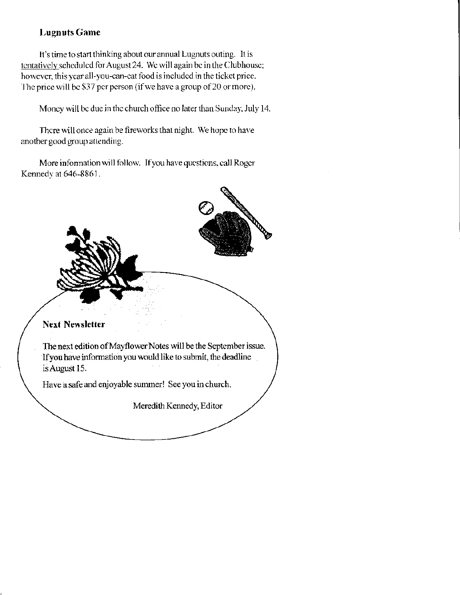#### **Lugnuts Game**

It's time to start thinking about our annual Lugnuts outing. It is tentatively scheduled for August 24. We will again be in the Clubhouse; however, this year all-you-can-cat food is included in the ticket price. The price will be \$37 per person (if we have a group of 20 or more).

Money will be due in the church office no later than Sunday, July 14.

There will once again be fireworks that night. We hope to have another good group attending.

More information will follow. If you have questions, call Roger Kennedy at 646-8861.

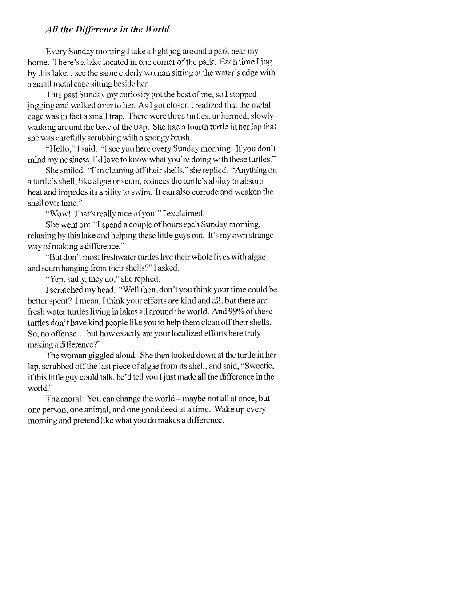#### All the Difference in the World

Every Sunday morning I take a light jog around a park near my home. There's a lake located in one corner of the park. Each time I jog by this lake. I see the same elderly woman sitting at the water's edge with a small metal cage sitting beside her.

This past Sunday my curiosity got the best of me, so I stopped jogging and walked over to her. As I got closer, I realized that the metal cage was in fact a small trap. There were three turtles, unharmed, slowly walking around the base of the trap. She had a fourth turtle in her lap that she was carefully scrubbing with a spongy brush.

"Hello," I said. "I see you here every Sunday morning. If you don't mind my nosiness, I'd love to know what you're doing with these turtles."

She smiled. "I'm cleaning off their shells," she replied. "Anything on a turtle's shell, like algae or scum, reduces the turtle's ability to absorb heat and impedes its ability to swim. It can also corrode and weaken the shell over time."

"Wow! That's really nice of you!" I exclaimed.

She went on: "I spend a couple of hours each Sunday morning, relaxing by this lake and helping these little guys out. It's my own strange way of making a difference."

"But don't most freshwater turtles live their whole lives with algae and scum hanging from their shells?" I asked.

"Yep, sadly, they do," she replied.

I scratched my head. "Well then, don't you think your time could be better spent? I mean. I think your efforts are kind and all, but there are fresh water turtles living in lakes all around the world. And 99% of these turtles don't have kind people like you to help them clean off their shells. So, no offense... but how exactly are your localized efforts here truly making a difference?"

The woman giggled aloud. She then looked down at the turtle in her lap, scrubbed off the last piece of algae from its shell, and said, "Sweetie, if this little guy could talk, he'd tell you I just made all the difference in the world."

The moral: You can change the world – maybe not all at once, but one person, one animal, and one good deed at a time. Wake up every morning and pretend like what you do makes a difference.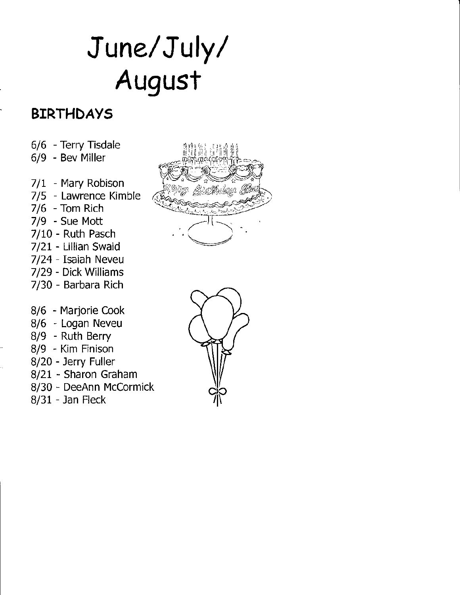# June/ July/ August

## BIRTHDAYS

- 6/6 Terry Tisdale
- 6/9 Bev Miller
- 7/1 Mary Robison
- 7/5 Lawrence Kimble
- 7/6 Tom Rich
- 7/9 Sue Mott
- 7/10 Ruth Pasch
- 7/21 Lillian Swaid
- 7/24 Isaiah Neveu
- 7/29 Dick Williams
- 7/30 Barbara Rich
- 8/6 Marjorie Cook
- 8/6 Logan Neveu
- 8/9 Ruth Berry
- 8/9 Kim Finison
- 8/20 Jerry Fuller
- 8/21 Sharon Graham
- 8/30 DeeAnn Mccormick
- 8/31 Jan Fleck



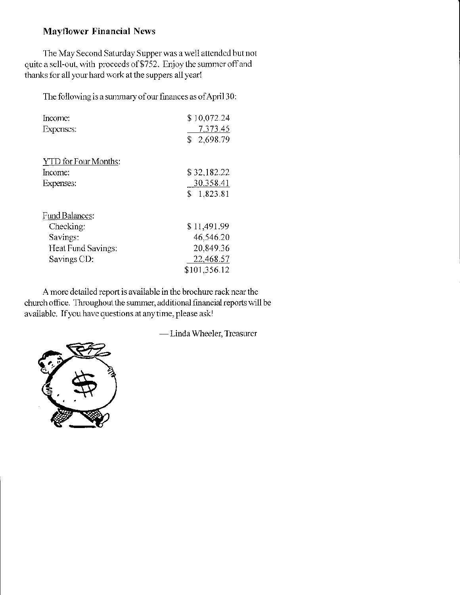#### **Mayflower Financial News**

The May Second Saturday Supper was a well attended but not quite a sell-out, with proceeds of \$752. Enjoy the summer off and thanks for all your hard work at the suppers all year!

The following is a summary of our finances as of April 30:

| Income:<br>Expenses: | \$10,072.24<br>7,373.45<br>\$2,698.79 |
|----------------------|---------------------------------------|
| YTD for Four Months: |                                       |
| Income:              | \$32,182.22                           |
| Expenses:            | 30.358.41                             |
|                      | \$1,823.81                            |
| Fund Balances:       |                                       |
| Checking:            | \$11,491.99                           |
| Savings:             | 46,546.20                             |
| Heat Fund Savings:   | 20,849.36                             |
| Savings CD:          | 22,468.57                             |
|                      | \$101,356.12                          |

A more detailed report is available in the brochure rack near the church office. Throughout the summer, additional financial reports will be available. If you have questions at any time, please ask!

-Linda Wheeler, Treasurer